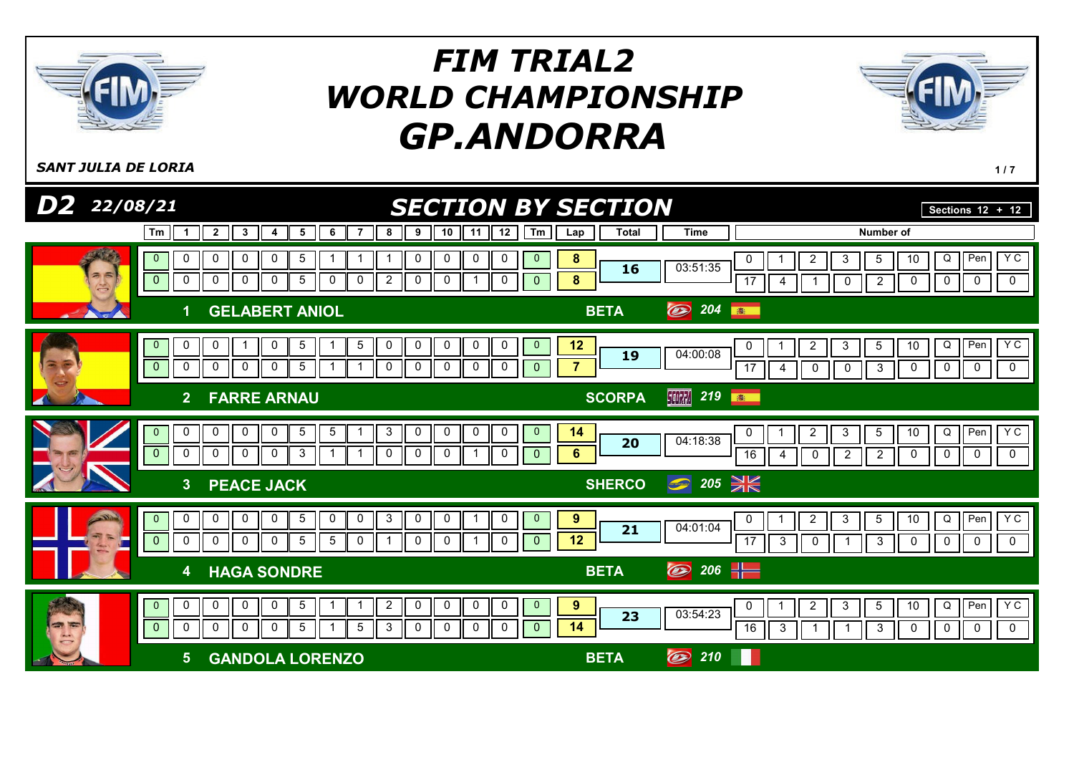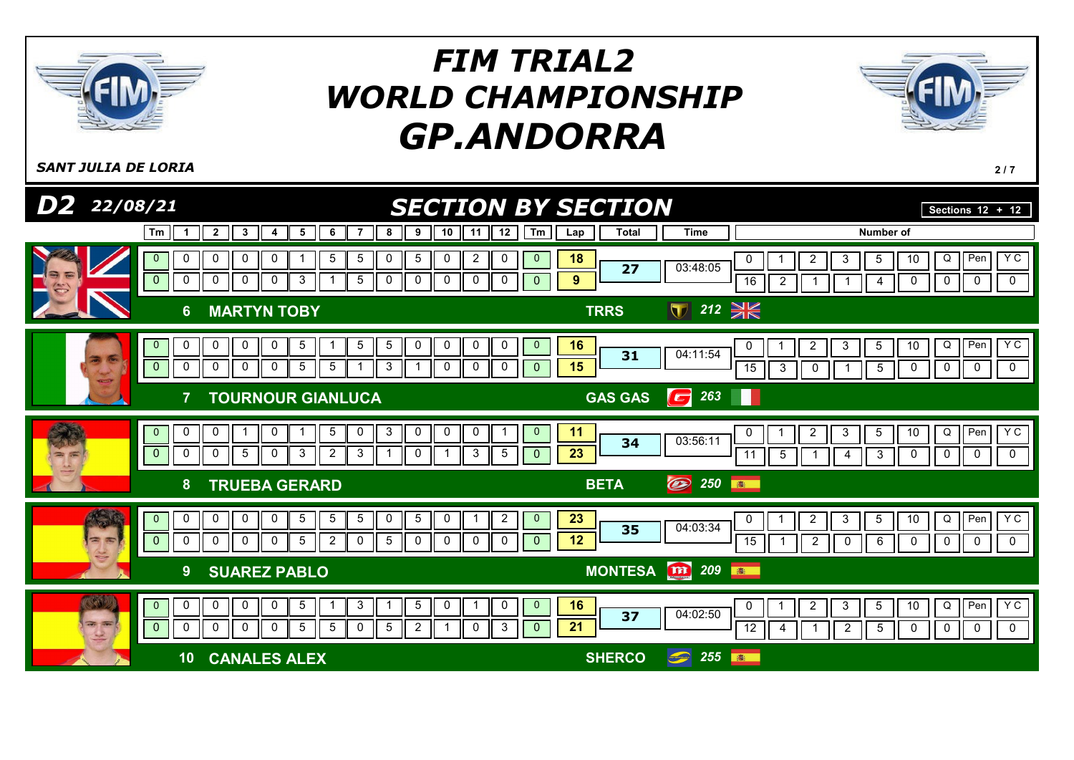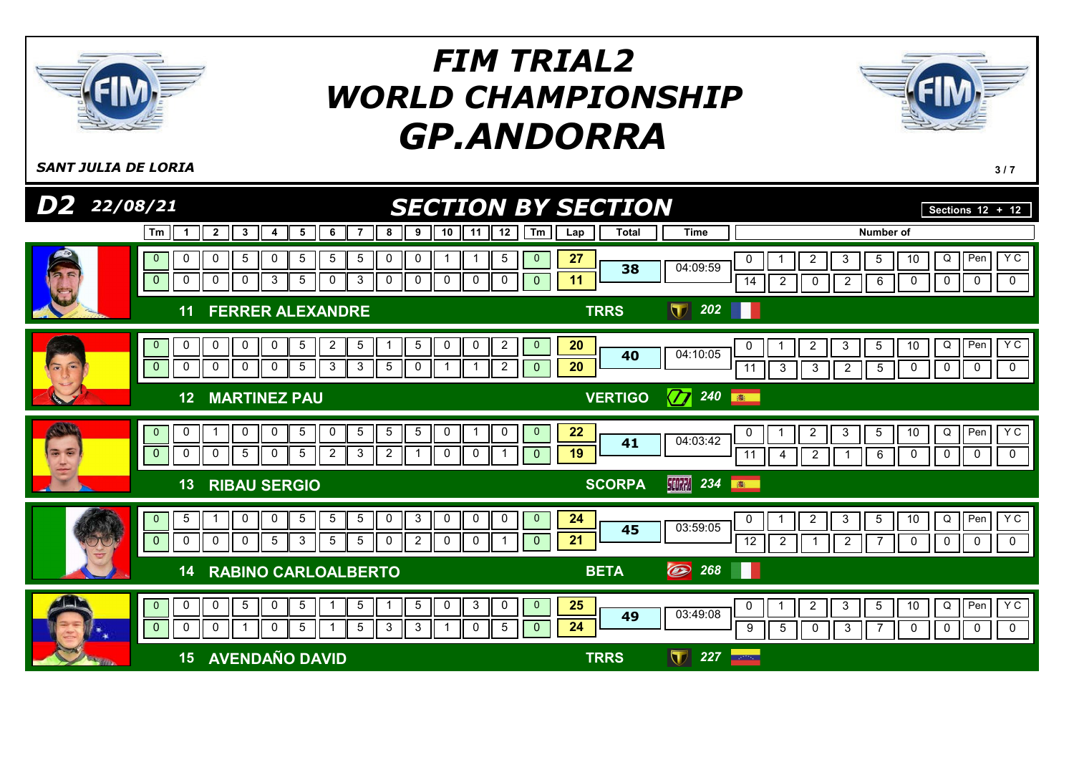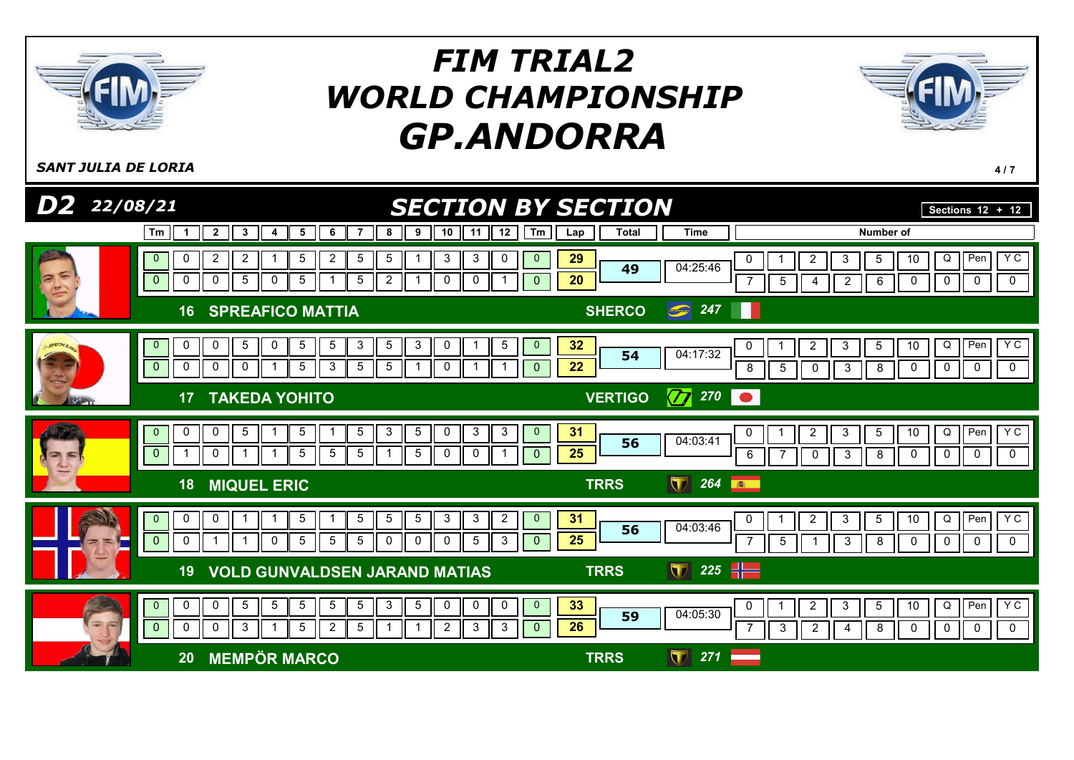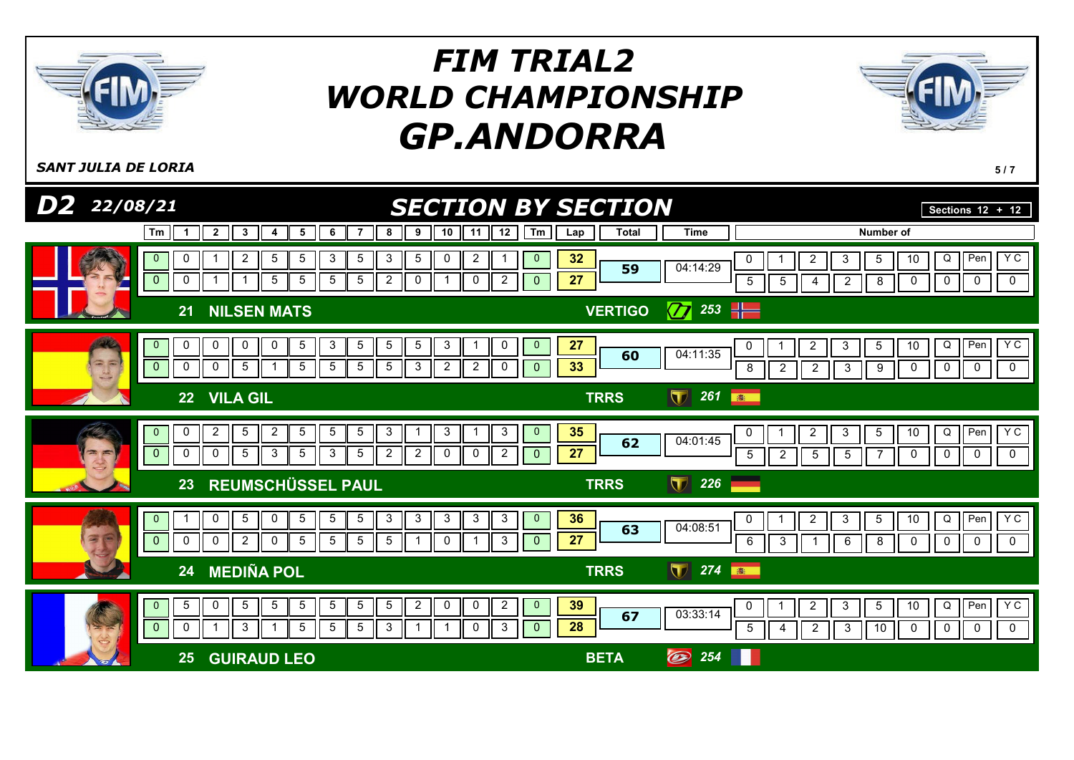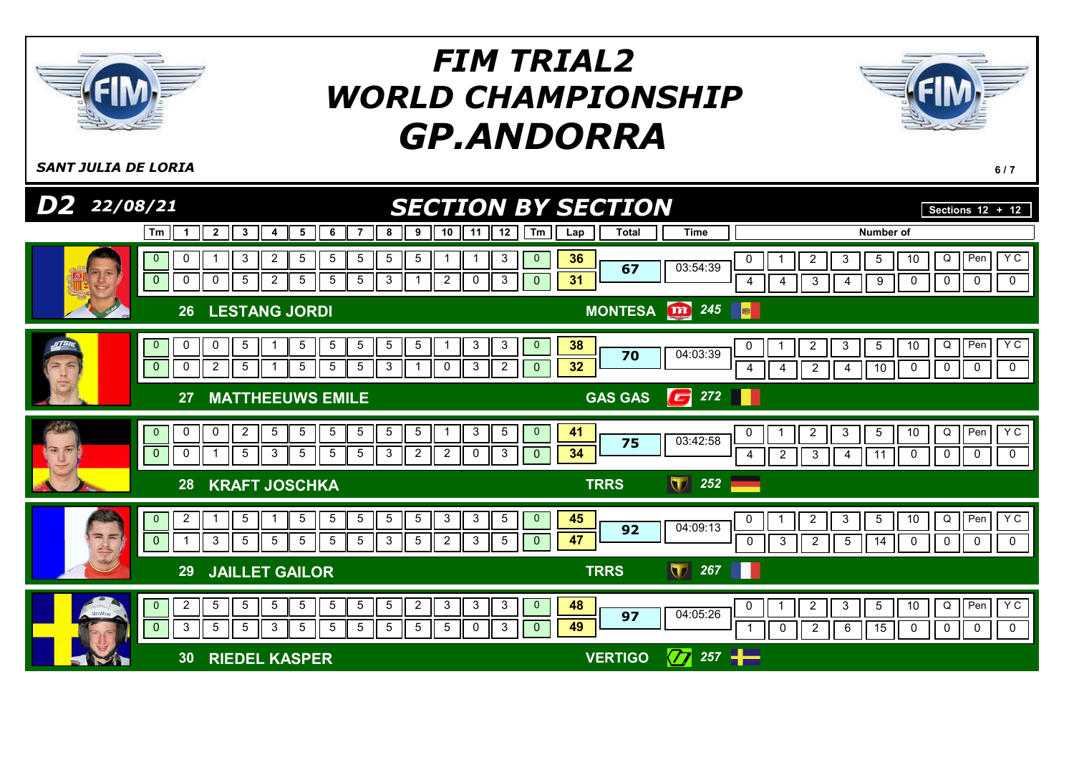